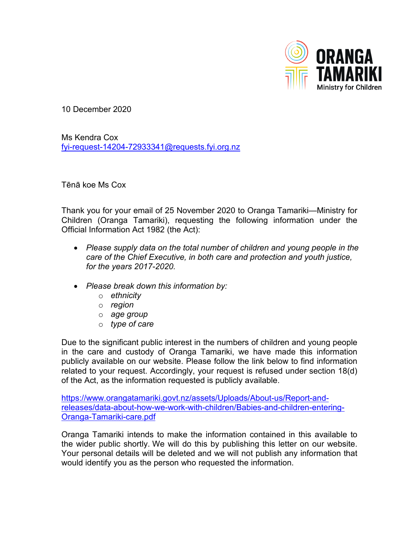

10 December 2020

Ms Kendra Cox [fyi-request-14204-72933341@requests.fyi.org.nz](mailto:fyi-request-14204-72933341@requests.fyi.org.nz)

Tēnā koe Ms Cox

Thank you for your email of 25 November 2020 to Oranga Tamariki—Ministry for Children (Oranga Tamariki), requesting the following information under the Official Information Act 1982 (the Act):

- *Please supply data on the total number of children and young people in the care of the Chief Executive, in both care and protection and youth justice, for the years 2017-2020.*
- *Please break down this information by:*
	- o *ethnicity*
	- o *region*
	- o *age group*
	- o *type of care*

Due to the significant public interest in the numbers of children and young people in the care and custody of Oranga Tamariki, we have made this information publicly available on our website. Please follow the link below to find information related to your request. Accordingly, your request is refused under section 18(d) of the Act, as the information requested is publicly available.

[https://www.orangatamariki.govt.nz/assets/Uploads/About](https://www.orangatamariki.govt.nz/assets/Uploads/About-us/Report-and-releases/data-about-how-we-work-with-children/Babies-and-children-entering-Oranga-Tamariki-care.pdf)-us/Report-andreleases/data-about-how-we-work[-with-children/Babies-and-children-entering-](https://www.orangatamariki.govt.nz/assets/Uploads/About-us/Report-and-releases/data-about-how-we-work-with-children/Babies-and-children-entering-Oranga-Tamariki-care.pdf)Oranga-Tamariki[-care.pdf](https://www.orangatamariki.govt.nz/assets/Uploads/About-us/Report-and-releases/data-about-how-we-work-with-children/Babies-and-children-entering-Oranga-Tamariki-care.pdf)

Oranga Tamariki intends to make the information contained in this available to the wider public shortly. We will do this by publishing this letter on our website. Your personal details will be deleted and we will not publish any information that would identify you as the person who requested the information.